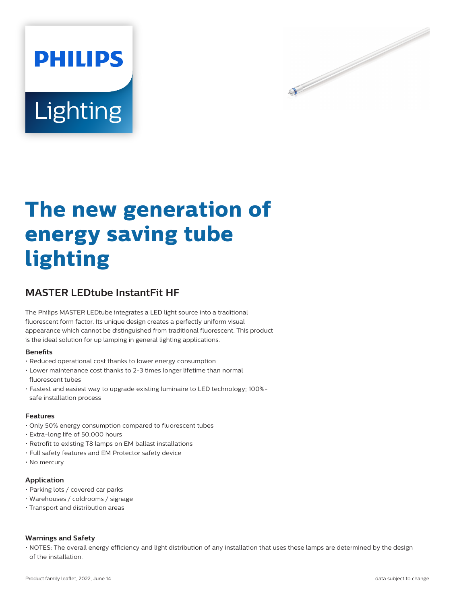



# **The new generation of energy saving tube lighting**

# **MASTER LEDtube InstantFit HF**

The Philips MASTER LEDtube integrates a LED light source into a traditional fluorescent form factor. Its unique design creates a perfectly uniform visual appearance which cannot be distinguished from traditional fluorescent. This product is the ideal solution for up lamping in general lighting applications.

#### **Benets**

- Reduced operational cost thanks to lower energy consumption
- Lower maintenance cost thanks to 2-3 times longer lifetime than normal fluorescent tubes
- Fastest and easiest way to upgrade existing luminaire to LED technology; 100% safe installation process

#### **Features**

- Only 50% energy consumption compared to fluorescent tubes
- Extra-long life of 50,000 hours
- Retrofit to existing T8 lamps on EM ballast installations
- Full safety features and EM Protector safety device
- No mercury

#### **Application**

- Parking lots / covered car parks
- Warehouses / coldrooms / signage
- Transport and distribution areas

#### **Warnings and Safety**

• NOTES: The overall energy efficiency and light distribution of any installation that uses these lamps are determined by the design of the installation.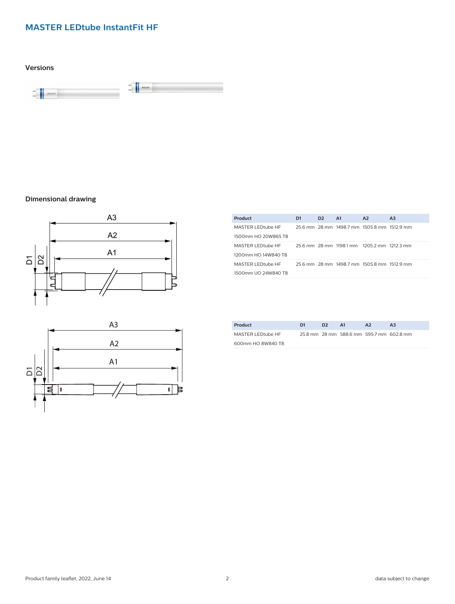# **MASTER LEDtube InstantFit HF**

**Versions**



# **Dimensional drawing**





| Product             | D1 | D <sub>2</sub> | A1 | A2                                          | A <sub>3</sub> |
|---------------------|----|----------------|----|---------------------------------------------|----------------|
| MASTER LEDtube HF   |    |                |    | 25.6 mm 28 mm 1498.7 mm 1505.8 mm 1512.9 mm |                |
| 1500mm HO 20W865 T8 |    |                |    |                                             |                |
| MASTER LEDtube HF   |    |                |    | 25.6 mm 28 mm 1198.1 mm 1205.2 mm 1212.3 mm |                |
| 1200mm HO 14W840 T8 |    |                |    |                                             |                |
| MASTER LEDtube HF   |    |                |    | 25.6 mm 28 mm 1498.7 mm 1505.8 mm 1512.9 mm |                |
| 1500mm UO 24W840 T8 |    |                |    |                                             |                |

| Product           | D1 | D <sub>2</sub> | - A1                                     | A2 | A3 |
|-------------------|----|----------------|------------------------------------------|----|----|
| MASTER LEDtube HF |    |                | 25.8 mm 28 mm 588.6 mm 595.7 mm 602.8 mm |    |    |
| 600mm HO 8W840 T8 |    |                |                                          |    |    |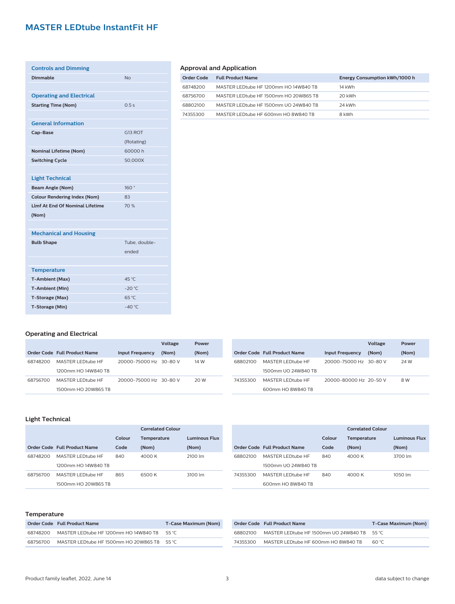# **MASTER LEDtube InstantFit HF**

| <b>Controls and Dimming</b>            |                 |
|----------------------------------------|-----------------|
| Dimmable                               | No              |
|                                        |                 |
| <b>Operating and Electrical</b>        |                 |
| <b>Starting Time (Nom)</b>             | 0.5s            |
|                                        |                 |
| <b>General Information</b>             |                 |
| Cap-Base                               | G13 ROT         |
|                                        | (Rotating)      |
| <b>Nominal Lifetime (Nom)</b>          | 60000 h         |
| <b>Switching Cycle</b>                 | 50,000X         |
|                                        |                 |
| <b>Light Technical</b>                 |                 |
| <b>Beam Angle (Nom)</b>                | 160°            |
| <b>Colour Rendering Index (Nom)</b>    | 83              |
| <b>Llmf At End Of Nominal Lifetime</b> | 70 %            |
| (Nom)                                  |                 |
|                                        |                 |
| <b>Mechanical and Housing</b>          |                 |
| <b>Bulb Shape</b>                      | Tube, double-   |
|                                        | ended           |
|                                        |                 |
| <b>Temperature</b>                     |                 |
| <b>T-Ambient (Max)</b>                 | 45 °C           |
| <b>T-Ambient (Min)</b>                 | $-20$ °C        |
| T-Storage (Max)                        | 65 °C           |
| T-Storage (Min)                        | $-40^{\circ}$ C |

# **Approval and Application**

J.

| Order Code | <b>Full Product Name</b>              | Energy Consumption kWh/1000 h |
|------------|---------------------------------------|-------------------------------|
| 68748200   | MASTER LEDtube HF 1200mm HO 14W840 T8 | 14 kWh                        |
| 68756700   | MASTER LEDtube HF 1500mm HO 20W865 T8 | 20 kWh                        |
| 68802100   | MASTER LEDtube HF 1500mm UO 24W840 T8 | 24 kWh                        |
| 74355300   | MASTER LEDtube HF 600mm HO 8W840 T8   | 8 kWh                         |

# **Operating and Electrical**

|          |                              |                        | Voltage | Power |          |                              |                        | Voltage | Power |
|----------|------------------------------|------------------------|---------|-------|----------|------------------------------|------------------------|---------|-------|
|          | Order Code Full Product Name | <b>Input Frequency</b> | (Nom)   | (Nom) |          | Order Code Full Product Name | <b>Input Frequency</b> | (Nom)   | (Nom) |
| 68748200 | MASTER LEDtube HF            | 20000-75000 Hz 30-80 V |         | 14 W  | 68802100 | MASTER LEDtube HF            | 20000-75000 Hz 30-80 V |         | 24 W  |
|          | 1200mm HO 14W840 T8          |                        |         |       |          | 1500mm UO 24W840 T8          |                        |         |       |
| 68756700 | MASTER LEDtube HF            | 20000-75000 Hz 30-80 V |         | 20 W  | 74355300 | MASTER LEDtube HF            | 20000-80000 Hz 20-50 V |         | 8 W   |
|          | 1500mm HO 20W865 T8          |                        |         |       |          | 600mm HO 8W840 T8            |                        |         |       |

# **Light Technical**

|          |                              |        | Correlated Colour  |                      |
|----------|------------------------------|--------|--------------------|----------------------|
|          |                              | Colour | <b>Temperature</b> | <b>Luminous Flux</b> |
|          | Order Code Full Product Name | Code   | (Nom)              | (Nom)                |
| 68748200 | MASTER LEDtube HF            | 840    | 4000 K             | 2100 lm              |
|          | 1200mm HO 14W840 T8          |        |                    |                      |
| 68756700 | MASTER LEDtube HF            | 865    | 6500 K             | 3100 lm              |
|          | 1500mm HO 20W865 T8          |        |                    |                      |

|          | <b>Correlated Colour</b>     |        |                    |                      |
|----------|------------------------------|--------|--------------------|----------------------|
|          |                              | Colour | <b>Temperature</b> | <b>Luminous Flux</b> |
|          | Order Code Full Product Name | Code   | (Nom)              | (Nom)                |
| 68802100 | MASTER I EDfube HE           | 840    | 4000 K             | 3700 lm              |
|          | 1500mm UO 24W840 T8          |        |                    |                      |
| 74355300 | MASTER LEDtube HF            | 840    | 4000 K             | 1050 lm              |
|          | 600mm HO 8W840 T8            |        |                    |                      |

### **Temperature**

|          | Order Code Full Product Name                 | T-Case Maximum (Nom) |
|----------|----------------------------------------------|----------------------|
| 68748200 | MASTER LEDtube HF 1200mm HO 14W840 T8        | 55 °C                |
| 68756700 | MASTER LEDtube HF 1500mm HO 20W865 T8 55 °C. |                      |

|          | Order Code Full Product Name                 | T-Case Maximum (Nom) |
|----------|----------------------------------------------|----------------------|
| 68802100 | MASTER LEDtube HF 1500mm UO 24W840 T8 55 °C. |                      |
| 74355300 | MASTER LEDtube HF 600mm HO 8W840 T8          | <b>AN</b> °C         |